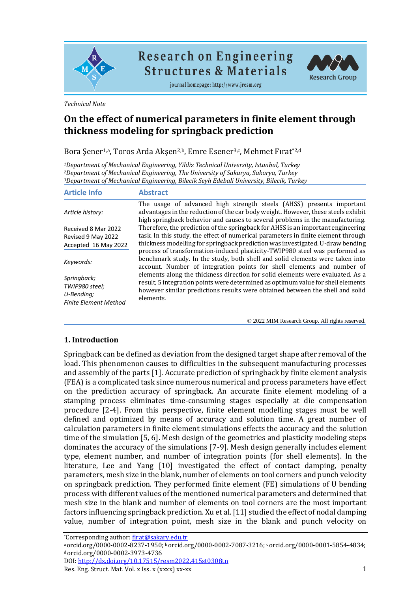

# **Research on Engineering Structures & Materials**

journal homepage: http://www.jresm.org



*Technical Note*

## **On the effect of numerical parameters in finite element through thickness modeling for springback prediction**

Bora Şener<sup>1,a</sup>, Toros Arda Akşen<sup>2,b</sup>, Emre Esener<sup>3,c</sup>, Mehmet Fırat\*<sup>2,d</sup>

*<sup>1</sup>Department of Mechanical Engineering, Yildiz Technical University, Istanbul, Turkey <sup>2</sup>Department of Mechanical Engineering, The University of Sakarya, Sakarya, Turkey <sup>3</sup>Department of Mechanical Engineering, Bilecik Seyh Edebali University, Bilecik, Turkey*

| <b>Article Info</b>                                                         | <b>Abstract</b>                                                                                                                                                                                                                                                  |
|-----------------------------------------------------------------------------|------------------------------------------------------------------------------------------------------------------------------------------------------------------------------------------------------------------------------------------------------------------|
| Article history:                                                            | The usage of advanced high strength steels (AHSS) presents important<br>advantages in the reduction of the car body weight. However, these steels exhibit<br>high springback behavior and causes to several problems in the manufacturing.                       |
| Received 8 Mar 2022                                                         | Therefore, the prediction of the springback for AHSS is an important engineering                                                                                                                                                                                 |
| Revised 9 May 2022                                                          | task. In this study, the effect of numerical parameters in finite element through                                                                                                                                                                                |
| Accepted 16 May 2022                                                        | thickness modelling for springback prediction was investigated. U-draw bending<br>process of transformation-induced plasticity-TWIP980 steel was performed as                                                                                                    |
| Keywords:                                                                   | benchmark study. In the study, both shell and solid elements were taken into<br>account. Number of integration points for shell elements and number of                                                                                                           |
| Springback;<br>TWIP980 steel;<br>U-Bendina:<br><b>Finite Element Method</b> | elements along the thickness direction for solid elements were evaluated. As a<br>result, 5 integration points were determined as optimum value for shell elements<br>however similar predictions results were obtained between the shell and solid<br>elements. |

© 2022 MIM Research Group. All rights reserved.

#### **1. Introduction**

Springback can be defined as deviation from the designed target shape after removal of the load. This phenomenon causes to difficulties in the subsequent manufacturing processes and assembly of the parts [1]. Accurate prediction of springback by finite element analysis (FEA) is a complicated task since numerous numerical and process parameters have effect on the prediction accuracy of springback. An accurate finite element modeling of a stamping process eliminates time-consuming stages especially at die compensation procedure [2-4]. From this perspective, finite element modelling stages must be well defined and optimized by means of accuracy and solution time. A great number of calculation parameters in finite element simulations effects the accuracy and the solution time of the simulation [5, 6]. Mesh design of the geometries and plasticity modeling steps dominates the accuracy of the simulations [7-9]. Mesh design generally includes element type, element number, and number of integration points (for shell elements). In the literature, Lee and Yang [10] investigated the effect of contact damping, penalty parameters, mesh size in the blank, number of elements on tool corners and punch velocity on springback prediction. They performed finite element (FE) simulations of U bending process with different values of the mentioned numerical parameters and determined that mesh size in the blank and number of elements on tool corners are the most important factors influencing springback prediction. Xu et al. [11] studied the effect of nodal damping value, number of integration point, mesh size in the blank and punch velocity on

DOI[: http://dx.doi.org/10.17515/resm2022.415st0308t](http://dx.doi.org/10.17515/resm2022.415st0308)n

<sup>\*</sup>Corresponding author[: firat@sakary.edu.t](mailto:tekin.3@osu.edu)r

a orcid.org/0000-0002-8237-1950; b orcid.org/0000-0002-7087-3216; c orcid.org/0000-0001-5854-4834; <sup>d</sup>orcid.org/0000-0002-3973-4736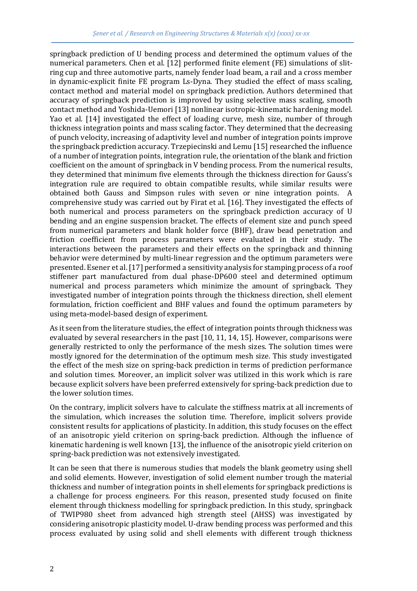springback prediction of U bending process and determined the optimum values of the numerical parameters. Chen et al. [12] performed finite element (FE) simulations of slitring cup and three automotive parts, namely fender load beam, a rail and a cross member in dynamic-explicit finite FE program Ls-Dyna. They studied the effect of mass scaling, contact method and material model on springback prediction. Authors determined that accuracy of springback prediction is improved by using selective mass scaling, smooth contact method and Yoshida-Uemori [13] nonlinear isotropic-kinematic hardening model. Yao et al. [14] investigated the effect of loading curve, mesh size, number of through thickness integration points and mass scaling factor. They determined that the decreasing of punch velocity, increasing of adaptivity level and number of integration points improve the springback prediction accuracy. Trzepiecinski and Lemu [15] researched the influence of a number of integration points, integration rule, the orientation of the blank and friction coefficient on the amount of springback in V bending process. From the numerical results, they determined that minimum five elements through the thickness direction for Gauss's integration rule are required to obtain compatible results, while similar results were obtained both Gauss and Simpson rules with seven or nine integration points. A comprehensive study was carried out by Firat et al. [16]. They investigated the effects of both numerical and process parameters on the springback prediction accuracy of U bending and an engine suspension bracket. The effects of element size and punch speed from numerical parameters and blank holder force (BHF), draw bead penetration and friction coefficient from process parameters were evaluated in their study. The interactions between the parameters and their effects on the springback and thinning behavior were determined by multi-linear regression and the optimum parameters were presented. Esener et al. [17] performed a sensitivity analysis for stamping process of a roof stiffener part manufactured from dual phase-DP600 steel and determined optimum numerical and process parameters which minimize the amount of springback. They investigated number of integration points through the thickness direction, shell element formulation, friction coefficient and BHF values and found the optimum parameters by using meta-model-based design of experiment.

As it seen from the literature studies, the effect of integration points through thickness was evaluated by several researchers in the past [10, 11, 14, 15]. However, comparisons were generally restricted to only the performance of the mesh sizes. The solution times were mostly ignored for the determination of the optimum mesh size. This study investigated the effect of the mesh size on spring-back prediction in terms of prediction performance and solution times. Moreover, an implicit solver was utilized in this work which is rare because explicit solvers have been preferred extensively for spring-back prediction due to the lower solution times.

On the contrary, implicit solvers have to calculate the stiffness matrix at all increments of the simulation, which increases the solution time. Therefore, implicit solvers provide consistent results for applications of plasticity. In addition, this study focuses on the effect of an anisotropic yield criterion on spring-back prediction. Although the influence of kinematic hardening is well known [13], the influence of the anisotropic yield criterion on spring-back prediction was not extensively investigated.

It can be seen that there is numerous studies that models the blank geometry using shell and solid elements. However, investigation of solid element number trough the material thickness and number of integration points in shell elements for springback predictions is a challenge for process engineers. For this reason, presented study focused on finite element through thickness modelling for springback prediction. In this study, springback of TWIP980 sheet from advanced high strength steel (AHSS) was investigated by considering anisotropic plasticity model. U-draw bending process was performed and this process evaluated by using solid and shell elements with different trough thickness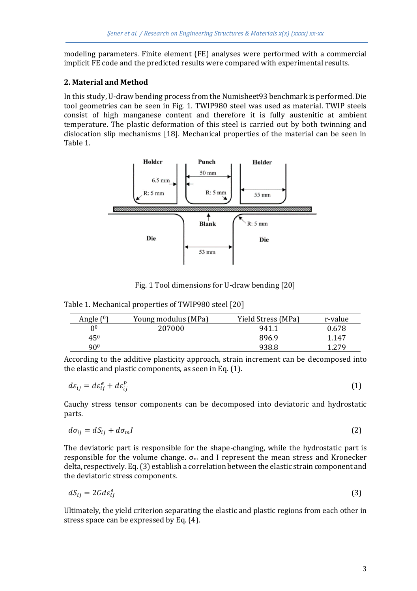modeling parameters. Finite element (FE) analyses were performed with a commercial implicit FE code and the predicted results were compared with experimental results.

### **2. Material and Method**

In this study, U-draw bending process from the Numisheet93 benchmark is performed. Die tool geometries can be seen in Fig. 1. TWIP980 steel was used as material. TWIP steels consist of high manganese content and therefore it is fully austenitic at ambient temperature. The plastic deformation of this steel is carried out by both twinning and dislocation slip mechanisms [18]. Mechanical properties of the material can be seen in Table 1.



Fig. 1 Tool dimensions for U-draw bending [20]

| Table 1. Mechanical properties of TWIP980 steel [20] |  |
|------------------------------------------------------|--|
|                                                      |  |

| Angle $(0)$     | Young modulus (MPa) | Yield Stress (MPa) | r-value |
|-----------------|---------------------|--------------------|---------|
| 0 <sup>0</sup>  | 207000              | 941.1              | 0.678   |
| $45^{0}$        |                     | 896.9              | 1.147   |
| 90 <sup>0</sup> |                     | 938.8              | 1.279   |

According to the additive plasticity approach, strain increment can be decomposed into the elastic and plastic components, as seen in Eq. (1).

$$
d\varepsilon_{ij} = d\varepsilon_{ij}^e + d\varepsilon_{ij}^p \tag{1}
$$

Cauchy stress tensor components can be decomposed into deviatoric and hydrostatic parts.

$$
d\sigma_{ij} = dS_{ij} + d\sigma_m I \tag{2}
$$

The deviatoric part is responsible for the shape-changing, while the hydrostatic part is responsible for the volume change.  $\sigma_m$  and I represent the mean stress and Kronecker delta, respectively. Eq. (3) establish a correlation between the elastic strain component and the deviatoric stress components.

$$
dS_{ij} = 2Gd\varepsilon_{ij}^e \tag{3}
$$

Ultimately, the yield criterion separating the elastic and plastic regions from each other in stress space can be expressed by Eq. (4).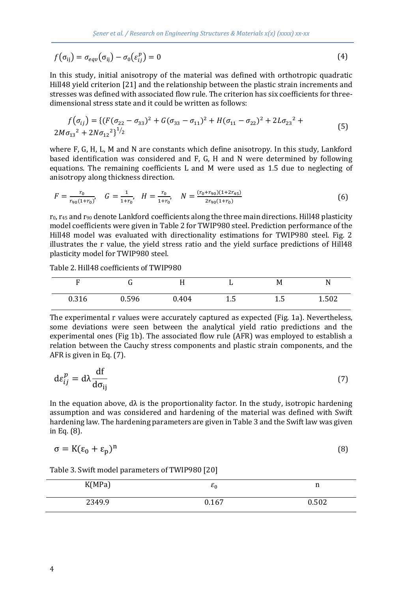$$
f(\sigma_{ij}) = \sigma_{eqv}(\sigma_{ij}) - \sigma_0(\varepsilon_{ij}^p) = 0
$$
\n(4)

In this study, initial anisotropy of the material was defined with orthotropic quadratic Hill48 yield criterion [21] and the relationship between the plastic strain increments and stresses was defined with associated flow rule. The criterion has six coefficients for threedimensional stress state and it could be written as follows:

$$
f(\sigma_{ij}) = \{ (F(\sigma_{22} - \sigma_{33})^2 + G(\sigma_{33} - \sigma_{11})^2 + H(\sigma_{11} - \sigma_{22})^2 + 2L\sigma_{23}^2 + 2M\sigma_{13}^2 + 2N\sigma_{12}^2 \}^{1/2}
$$
\n(5)

where F, G, H, L, M and N are constants which define anisotropy. In this study, Lankford based identification was considered and F, G, H and N were determined by following equations. The remaining coefficients L and M were used as 1.5 due to neglecting of anisotropy along thickness direction.

$$
F = \frac{r_0}{r_{90}(1+r_0)}, \quad G = \frac{1}{1+r_0}, \quad H = \frac{r_0}{1+r_0}, \quad N = \frac{(r_0+r_{90})(1+2r_{45})}{2r_{90}(1+r_0)}
$$
(6)

 $r_0$ ,  $r_{45}$  and  $r_{90}$  denote Lankford coefficients along the three main directions. Hill48 plasticity model coefficients were given in Table 2 for TWIP980 steel. Prediction performance of the Hill48 model was evaluated with directionality estimations for TWIP980 steel. Fig. 2 illustrates the r value, the yield stress ratio and the yield surface predictions of Hill48 plasticity model for TWIP980 steel.

Table 2. Hill48 coefficients of TWIP980

| n     |       |       |             | M   | N<br>.,      |
|-------|-------|-------|-------------|-----|--------------|
| 0.316 | 0.596 | 0.404 | 1 L<br>ل. 1 | 1.5 | EN?<br>1.JU4 |

The experimental r values were accurately captured as expected (Fig. 1a). Nevertheless, some deviations were seen between the analytical yield ratio predictions and the experimental ones (Fig 1b). The associated flow rule (AFR) was employed to establish a relation between the Cauchy stress components and plastic strain components, and the AFR is given in Eq. (7).

$$
d\varepsilon_{ij}^p = d\lambda \frac{df}{d\sigma_{ij}} \tag{7}
$$

In the equation above,  $d\lambda$  is the proportionality factor. In the study, isotropic hardening assumption and was considered and hardening of the material was defined with Swift hardening law. The hardening parameters are given in Table 3 and the Swift law was given in Eq. (8).

$$
\sigma = K(\varepsilon_0 + \varepsilon_p)^n \tag{8}
$$

| K(MPa) | $\epsilon_0$ | n     |
|--------|--------------|-------|
| 2349.9 | 0.167        | 0.502 |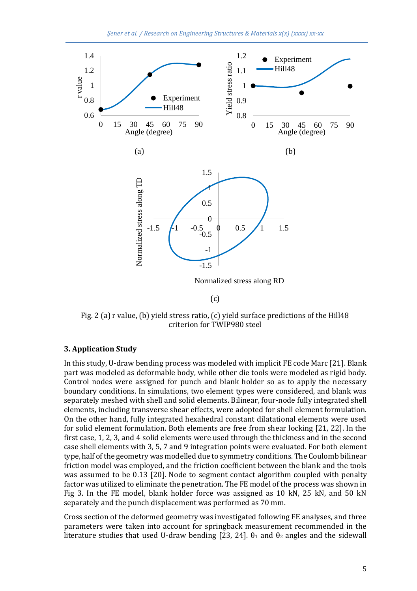

Fig. 2 (a) r value, (b) yield stress ratio, (c) yield surface predictions of the Hill48 criterion for TWIP980 steel

#### **3. Application Study**

In this study, U-draw bending process was modeled with implicit FE code Marc [21]. Blank part was modeled as deformable body, while other die tools were modeled as rigid body. Control nodes were assigned for punch and blank holder so as to apply the necessary boundary conditions. In simulations, two element types were considered, and blank was separately meshed with shell and solid elements. Bilinear, four-node fully integrated shell elements, including transverse shear effects, were adopted for shell element formulation. On the other hand, fully integrated hexahedral constant dilatational elements were used for solid element formulation. Both elements are free from shear locking [21, 22]. In the first case, 1, 2, 3, and 4 solid elements were used through the thickness and in the second case shell elements with 3, 5, 7 and 9 integration points were evaluated. For both element type, half of the geometry was modelled due to symmetry conditions. The Coulomb bilinear friction model was employed, and the friction coefficient between the blank and the tools was assumed to be 0.13 [20]. Node to segment contact algorithm coupled with penalty factor was utilized to eliminate the penetration. The FE model of the process was shown in Fig 3. In the FE model, blank holder force was assigned as 10 kN, 25 kN, and 50 kN separately and the punch displacement was performed as 70 mm.

Cross section of the deformed geometry was investigated following FE analyses, and three parameters were taken into account for springback measurement recommended in the literature studies that used U-draw bending [23, 24].  $θ_1$  and  $θ_2$  angles and the sidewall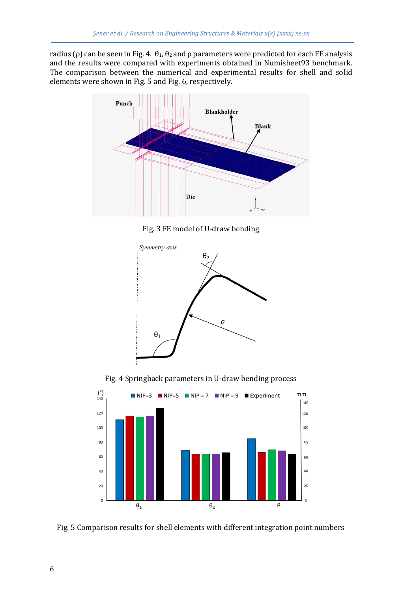radius (ρ) can be seen in Fig. 4.  $\theta_1$ ,  $\theta_2$  and ρ parameters were predicted for each FE analysis and the results were compared with experiments obtained in Numisheet93 benchmark. The comparison between the numerical and experimental results for shell and solid elements were shown in Fig. 5 and Fig. 6, respectively.



Fig. 3 FE model of U-draw bending



Fig. 4 Springback parameters in U-draw bending process



Fig. 5 Comparison results for shell elements with different integration point numbers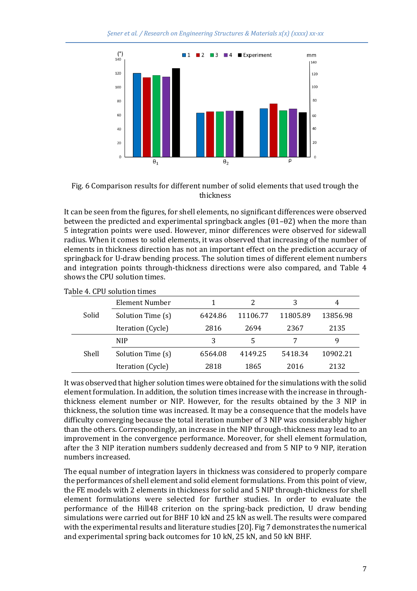

Fig. 6 Comparison results for different number of solid elements that used trough the thickness

It can be seen from the figures, for shell elements, no significant differences were observed between the predicted and experimental springback angles  $(\theta_1 - \theta_2)$  when the more than 5 integration points were used. However, minor differences were observed for sidewall radius. When it comes to solid elements, it was observed that increasing of the number of elements in thickness direction has not an important effect on the prediction accuracy of springback for U-draw bending process. The solution times of different element numbers and integration points through-thickness directions were also compared, and Table 4 shows the CPU solution times.

|       | Element Number    |         |          | 3        | 4        |
|-------|-------------------|---------|----------|----------|----------|
| Solid | Solution Time (s) | 6424.86 | 11106.77 | 11805.89 | 13856.98 |
|       | Iteration (Cycle) | 2816    | 2694     | 2367     | 2135     |
|       | <b>NIP</b>        |         |          |          | 9        |
| Shell | Solution Time (s) | 6564.08 | 4149.25  | 5418.34  | 10902.21 |
|       | Iteration (Cycle) | 2818    | 1865     | 2016     | 2132     |

#### Table 4. CPU solution times

It was observed that higher solution times were obtained for the simulations with the solid element formulation. In addition, the solution times increase with the increase in throughthickness element number or NIP. However, for the results obtained by the 3 NIP in thickness, the solution time was increased. It may be a consequence that the models have difficulty converging because the total iteration number of 3 NIP was considerably higher than the others. Correspondingly, an increase in the NIP through-thickness may lead to an improvement in the convergence performance. Moreover, for shell element formulation, after the 3 NIP iteration numbers suddenly decreased and from 5 NIP to 9 NIP, iteration numbers increased.

The equal number of integration layers in thickness was considered to properly compare the performances of shell element and solid element formulations. From this point of view, the FE models with 2 elements in thickness for solid and 5 NIP through-thickness for shell element formulations were selected for further studies. In order to evaluate the performance of the Hill48 criterion on the spring-back prediction, U draw bending simulations were carried out for BHF 10 kN and 25 kN as well. The results were compared with the experimental results and literature studies [20]. Fig 7 demonstrates the numerical and experimental spring back outcomes for 10 kN, 25 kN, and 50 kN BHF.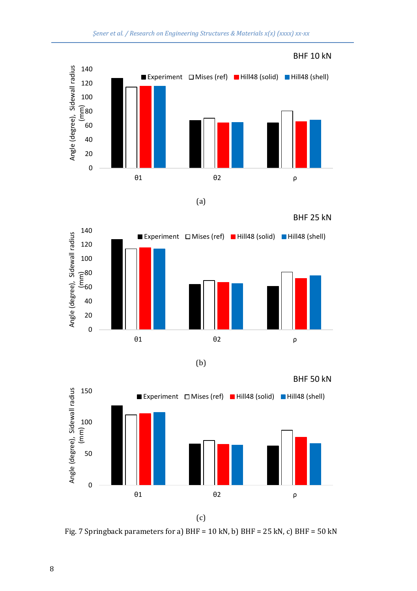



(a)

BHF 25 kN



(b)



(c)

Fig. 7 Springback parameters for a) BHF =  $10$  kN, b) BHF =  $25$  kN, c) BHF =  $50$  kN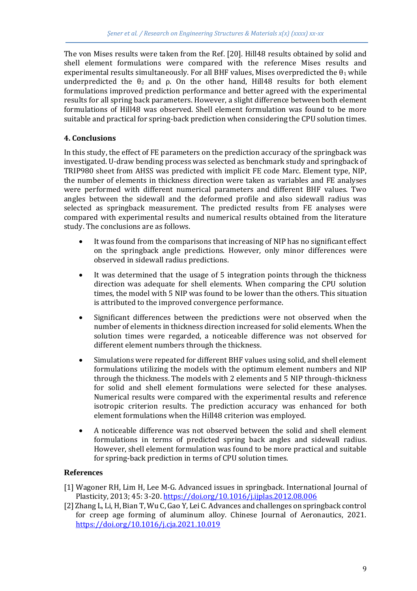The von Mises results were taken from the Ref. [20]. Hill48 results obtained by solid and shell element formulations were compared with the reference Mises results and experimental results simultaneously. For all BHF values, Mises overpredicted the  $\theta_1$  while underpredicted the  $\theta_2$  and  $\rho$ . On the other hand, Hill48 results for both element formulations improved prediction performance and better agreed with the experimental results for all spring back parameters. However, a slight difference between both element formulations of Hill48 was observed. Shell element formulation was found to be more suitable and practical for spring-back prediction when considering the CPU solution times.

### **4. Conclusions**

In this study, the effect of FE parameters on the prediction accuracy of the springback was investigated. U-draw bending process was selected as benchmark study and springback of TRIP980 sheet from AHSS was predicted with implicit FE code Marc. Element type, NIP, the number of elements in thickness direction were taken as variables and FE analyses were performed with different numerical parameters and different BHF values. Two angles between the sidewall and the deformed profile and also sidewall radius was selected as springback measurement. The predicted results from FE analyses were compared with experimental results and numerical results obtained from the literature study. The conclusions are as follows.

- It was found from the comparisons that increasing of NIP has no significant effect on the springback angle predictions. However, only minor differences were observed in sidewall radius predictions.
- It was determined that the usage of 5 integration points through the thickness direction was adequate for shell elements. When comparing the CPU solution times, the model with 5 NIP was found to be lower than the others. This situation is attributed to the improved convergence performance.
- Significant differences between the predictions were not observed when the number of elements in thickness direction increased for solid elements. When the solution times were regarded, a noticeable difference was not observed for different element numbers through the thickness.
- Simulations were repeated for different BHF values using solid, and shell element formulations utilizing the models with the optimum element numbers and NIP through the thickness. The models with 2 elements and 5 NIP through-thickness for solid and shell element formulations were selected for these analyses. Numerical results were compared with the experimental results and reference isotropic criterion results. The prediction accuracy was enhanced for both element formulations when the Hill48 criterion was employed.
- A noticeable difference was not observed between the solid and shell element formulations in terms of predicted spring back angles and sidewall radius. However, shell element formulation was found to be more practical and suitable for spring-back prediction in terms of CPU solution times.

#### **References**

- [1] Wagoner RH, Lim H, Lee M-G. Advanced issues in springback. International Journal of Plasticity, 2013; 45: 3-20.<https://doi.org/10.1016/j.ijplas.2012.08.006>
- [2] Zhang L, Li, H, Bian T, Wu C, Gao Y, Lei C. Advances and challenges on springback control for creep age forming of aluminum alloy. Chinese Journal of Aeronautics, 2021. <https://doi.org/10.1016/j.cja.2021.10.019>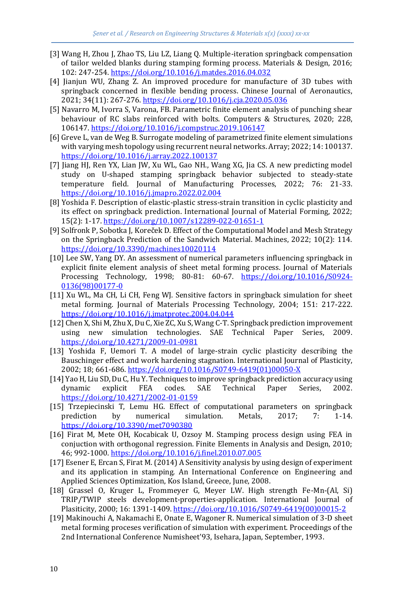- [3] Wang H, Zhou J, Zhao TS, Liu LZ, Liang Q. Multiple-iteration springback compensation of tailor welded blanks during stamping forming process. Materials & Design, 2016; 102: 247-254.<https://doi.org/10.1016/j.matdes.2016.04.032>
- [4] Jianjun WU, Zhang Z. An improved procedure for manufacture of 3D tubes with springback concerned in flexible bending process. Chinese Journal of Aeronautics, 2021; 34(11): 267-276.<https://doi.org/10.1016/j.cja.2020.05.036>
- [5] Navarro M, Ivorra S, Varona, FB. Parametric finite element analysis of punching shear behaviour of RC slabs reinforced with bolts. Computers & Structures, 2020; 228, 106147[. https://doi.org/10.1016/j.compstruc.2019.106147](https://doi.org/10.1016/j.compstruc.2019.106147)
- [6] Greve L, van de Weg B. Surrogate modeling of parametrized finite element simulations with varying mesh topology using recurrent neural networks. Array; 2022; 14: 100137. <https://doi.org/10.1016/j.array.2022.100137>
- [7] Jiang HJ, Ren YX, Lian JW, Xu WL, Gao NH., Wang XG, Jia CS. A new predicting model study on U-shaped stamping springback behavior subjected to steady-state temperature field. Journal of Manufacturing Processes, 2022; 76: 21-33. <https://doi.org/10.1016/j.jmapro.2022.02.004>
- [8] Yoshida F. Description of elastic-plastic stress-strain transition in cyclic plasticity and its effect on springback prediction. International Journal of Material Forming, 2022; 15(2): 1-17[. https://doi.org/10.1007/s12289-022-01651-1](https://doi.org/10.1007/s12289-022-01651-1)
- [9] Solfronk P, Sobotka J, Koreček D. Effect of the Computational Model and Mesh Strategy on the Springback Prediction of the Sandwich Material. Machines, 2022; 10(2): 114. <https://doi.org/10.3390/machines10020114>
- [10] Lee SW, Yang DY. An assessment of numerical parameters influencing springback in explicit finite element analysis of sheet metal forming process. Journal of Materials Processing Technology, 1998; 80-81: 60-67. [https://doi.org/10.1016/S0924-](https://doi.org/10.1016/S0924-0136(98)00177-0) [0136\(98\)00177-0](https://doi.org/10.1016/S0924-0136(98)00177-0)
- [11] Xu WL, Ma CH, Li CH, Feng WJ. Sensitive factors in springback simulation for sheet metal forming. Journal of Materials Processing Technology, 2004; 151: 217-222. <https://doi.org/10.1016/j.jmatprotec.2004.04.044>
- [12] Chen X, Shi M, Zhu X, Du C, Xie ZC, Xu S, Wang C-T. Springback prediction improvement using new simulation technologies. SAE Technical Paper Series, 2009. <https://doi.org/10.4271/2009-01-0981>
- [13] Yoshida F, Uemori T. A model of large-strain cyclic plasticity describing the Bauschinger effect and work hardening stagnation. International Journal of Plasticity, 2002; 18; 661-686[. https://doi.org/10.1016/S0749-6419\(01\)00050-X](https://doi.org/10.1016/S0749-6419(01)00050-X)
- [14] Yao H, Liu SD, Du C, Hu Y. Techniques to improve springback prediction accuracy using dynamic explicit FEA codes. SAE Technical Paper Series, 2002. <https://doi.org/10.4271/2002-01-0159>
- [15] Trzepiecinski T, Lemu HG. Effect of computational parameters on springback prediction by numerical simulation. Metals, 2017; 7: 1-14. <https://doi.org/10.3390/met7090380>
- [16] Firat M, Mete OH, Kocabicak U, Ozsoy M. Stamping process design using FEA in conjuction with orthogonal regression. Finite Elements in Analysis and Design, 2010; 46; 992-1000.<https://doi.org/10.1016/j.finel.2010.07.005>
- [17] Esener E, Ercan S, Firat M. (2014) A Sensitivity analysis by using design of experiment and its application in stamping. An International Conference on Engineering and Applied Sciences Optimization, Kos Island, Greece, June, 2008.
- [18] Grassel O, Kruger L, Frommeyer G, Meyer LW. High strength Fe-Mn-(Al, Si) TRIP/TWIP steels development-properties-application. International Journal of Plasiticity, 2000; 16: 1391-1409. [https://doi.org/10.1016/S0749-6419\(00\)00015-2](https://doi.org/10.1016/S0749-6419(00)00015-2)
- [19] Makinouchi A, Nakamachi E, Onate E, Wagoner R. Numerical simulation of 3-D sheet metal forming proceses verification of simulation with experiment. Proceedings of the 2nd International Conference Numisheet'93, Isehara, Japan, September, 1993.